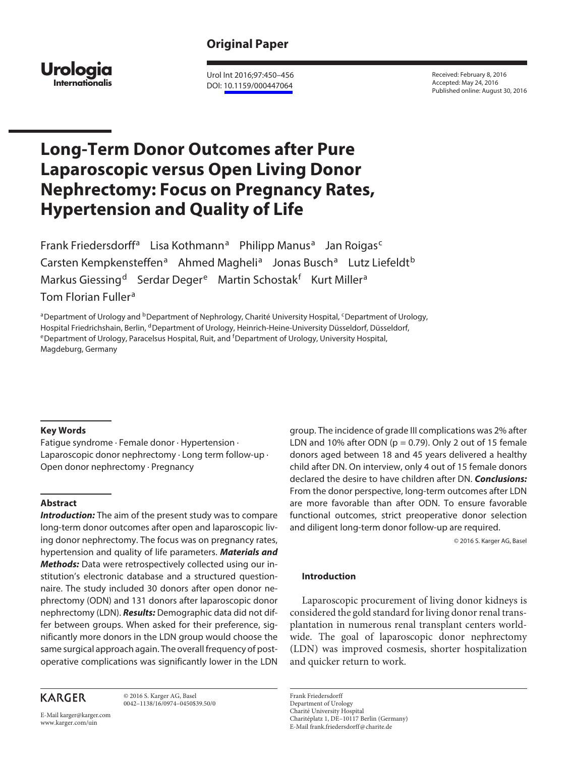# **Original Paper**



 Urol Int 2016;97:450–456 DOI: [10.1159/000447064](http://dx.doi.org/10.1159%2F000447064)

 Received: February 8, 2016 Accepted: May 24, 2016 Published online: August 30, 2016

# **Long-Term Donor Outcomes after Pure Laparoscopic versus Open Living Donor Nephrectomy: Focus on Pregnancy Rates, Hypertension and Quality of Life**

Frank Friedersdorff<sup>a</sup> Lisa Kothmann<sup>a</sup> Philipp Manus<sup>a</sup> Jan Roigas<sup>c</sup> Carsten Kempkensteffen<sup>a</sup> Ahmed Magheli<sup>a</sup> Jonas Busch<sup>a</sup> Lutz Liefeldt<sup>b</sup> Markus Giessing<sup>d</sup> Serdar Deger<sup>e</sup> Martin Schostak<sup>f</sup> Kurt Miller<sup>a</sup> Tom Florian Fuller<sup>a</sup>

a Department of Urology and <sup>b</sup> Department of Nephrology, Charité University Hospital, <sup>c</sup> Department of Urology, Hospital Friedrichshain, Berlin, <sup>d</sup>Department of Urology, Heinrich-Heine-University Düsseldorf, Düsseldorf,<br><sup>e</sup> Department of Urology, Paracelsus Hospital, Ruit, and <sup>f</sup> Department of Urology, University Hospital, Magdeburg, Germany

## **Key Words**

 Fatigue syndrome · Female donor · Hypertension · Laparoscopic donor nephrectomy · Long term follow-up · Open donor nephrectomy · Pregnancy

# **Abstract**

**Introduction:** The aim of the present study was to compare long-term donor outcomes after open and laparoscopic living donor nephrectomy. The focus was on pregnancy rates, hypertension and quality of life parameters. **Materials and Methods:** Data were retrospectively collected using our institution's electronic database and a structured questionnaire. The study included 30 donors after open donor nephrectomy (ODN) and 131 donors after laparoscopic donor nephrectomy (LDN). **Results:** Demographic data did not differ between groups. When asked for their preference, significantly more donors in the LDN group would choose the same surgical approach again. The overall frequency of postoperative complications was significantly lower in the LDN

**KARGER** 

 © 2016 S. Karger AG, Basel 0042–1138/16/0974–0450\$39.50/0

E-Mail karger@karger.com www.karger.com/uin

group. The incidence of grade III complications was 2% after LDN and 10% after ODN ( $p = 0.79$ ). Only 2 out of 15 female donors aged between 18 and 45 years delivered a healthy child after DN. On interview, only 4 out of 15 female donors declared the desire to have children after DN. **Conclusions:** From the donor perspective, long-term outcomes after LDN are more favorable than after ODN. To ensure favorable functional outcomes, strict preoperative donor selection and diligent long-term donor follow-up are required.

© 2016 S. Karger AG, Basel

## **Introduction**

 Laparoscopic procurement of living donor kidneys is considered the gold standard for living donor renal transplantation in numerous renal transplant centers worldwide. The goal of laparoscopic donor nephrectomy (LDN) was improved cosmesis, shorter hospitalization and quicker return to work.

 Frank Friedersdorff Department of Urology Charité University Hospital Charitéplatz 1, DE–10117 Berlin (Germany) E-Mail frank.friedersdorff @ charite.de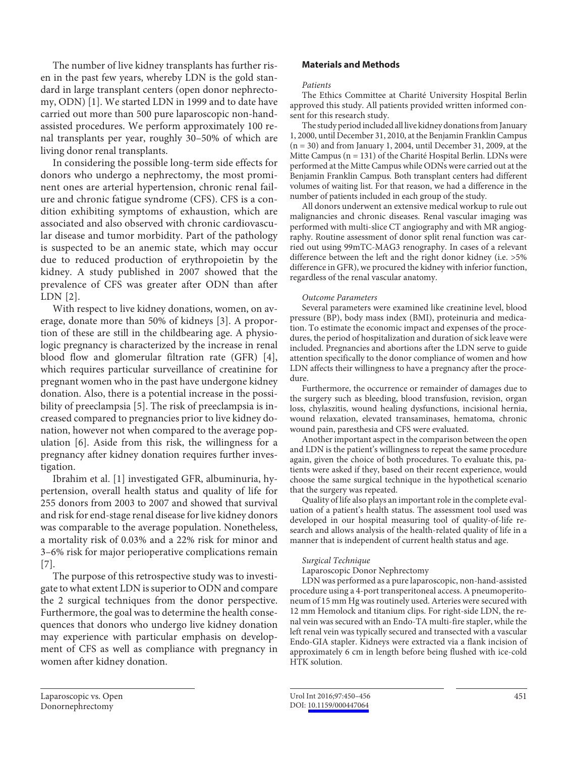The number of live kidney transplants has further risen in the past few years, whereby LDN is the gold standard in large transplant centers (open donor nephrectomy, ODN) [1]. We started LDN in 1999 and to date have carried out more than 500 pure laparoscopic non-handassisted procedures. We perform approximately 100 renal transplants per year, roughly 30–50% of which are living donor renal transplants.

 In considering the possible long-term side effects for donors who undergo a nephrectomy, the most prominent ones are arterial hypertension, chronic renal failure and chronic fatigue syndrome (CFS). CFS is a condition exhibiting symptoms of exhaustion, which are associated and also observed with chronic cardiovascular disease and tumor morbidity. Part of the pathology is suspected to be an anemic state, which may occur due to reduced production of erythropoietin by the kidney. A study published in 2007 showed that the prevalence of CFS was greater after ODN than after LDN [2].

 With respect to live kidney donations, women, on average, donate more than 50% of kidneys [3] . A proportion of these are still in the childbearing age. A physiologic pregnancy is characterized by the increase in renal blood flow and glomerular filtration rate (GFR) [4], which requires particular surveillance of creatinine for pregnant women who in the past have undergone kidney donation. Also, there is a potential increase in the possibility of preeclampsia [5]. The risk of preeclampsia is increased compared to pregnancies prior to live kidney donation, however not when compared to the average population [6]. Aside from this risk, the willingness for a pregnancy after kidney donation requires further investigation.

 Ibrahim et al. [1] investigated GFR, albuminuria, hypertension, overall health status and quality of life for 255 donors from 2003 to 2007 and showed that survival and risk for end-stage renal disease for live kidney donors was comparable to the average population. Nonetheless, a mortality risk of 0.03% and a 22% risk for minor and 3–6% risk for major perioperative complications remain  $[7]$ .

 The purpose of this retrospective study was to investigate to what extent LDN is superior to ODN and compare the 2 surgical techniques from the donor perspective. Furthermore, the goal was to determine the health consequences that donors who undergo live kidney donation may experience with particular emphasis on development of CFS as well as compliance with pregnancy in women after kidney donation.

# **Materials and Methods**

# *Patients*

 The Ethics Committee at Charité University Hospital Berlin approved this study. All patients provided written informed consent for this research study.

 The study period included all live kidney donations from January 1, 2000, until December 31, 2010, at the Benjamin Franklin Campus (n = 30) and from January 1, 2004, until December 31, 2009, at the Mitte Campus (n = 131) of the Charité Hospital Berlin. LDNs were performed at the Mitte Campus while ODNs were carried out at the Benjamin Franklin Campus. Both transplant centers had different volumes of waiting list. For that reason, we had a difference in the number of patients included in each group of the study.

 All donors underwent an extensive medical workup to rule out malignancies and chronic diseases. Renal vascular imaging was performed with multi-slice CT angiography and with MR angiography. Routine assessment of donor split renal function was carried out using 99mTC-MAG3 renography. In cases of a relevant difference between the left and the right donor kidney (i.e. >5% difference in GFR), we procured the kidney with inferior function, regardless of the renal vascular anatomy.

# *Outcome Parameters*

 Several parameters were examined like creatinine level, blood pressure (BP), body mass index (BMI), proteinuria and medication. To estimate the economic impact and expenses of the procedures, the period of hospitalization and duration of sick leave were included. Pregnancies and abortions after the LDN serve to guide attention specifically to the donor compliance of women and how LDN affects their willingness to have a pregnancy after the procedure.

 Furthermore, the occurrence or remainder of damages due to the surgery such as bleeding, blood transfusion, revision, organ loss, chylaszitis, wound healing dysfunctions, incisional hernia, wound relaxation, elevated transaminases, hematoma, chronic wound pain, paresthesia and CFS were evaluated.

 Another important aspect in the comparison between the open and LDN is the patient's willingness to repeat the same procedure again, given the choice of both procedures. To evaluate this, patients were asked if they, based on their recent experience, would choose the same surgical technique in the hypothetical scenario that the surgery was repeated.

 Quality of life also plays an important role in the complete evaluation of a patient's health status. The assessment tool used was developed in our hospital measuring tool of quality-of-life research and allows analysis of the health-related quality of life in a manner that is independent of current health status and age.

## *Surgical Technique*

Laparoscopic Donor Nephrectomy

 LDN was performed as a pure laparoscopic, non-hand-assisted procedure using a 4-port transperitoneal access. A pneumoperitoneum of 15 mm Hg was routinely used. Arteries were secured with 12 mm Hemolock and titanium clips. For right-side LDN, the renal vein was secured with an Endo-TA multi-fire stapler, while the left renal vein was typically secured and transected with a vascular Endo-GIA stapler. Kidneys were extracted via a flank incision of approximately 6 cm in length before being flushed with ice-cold HTK solution.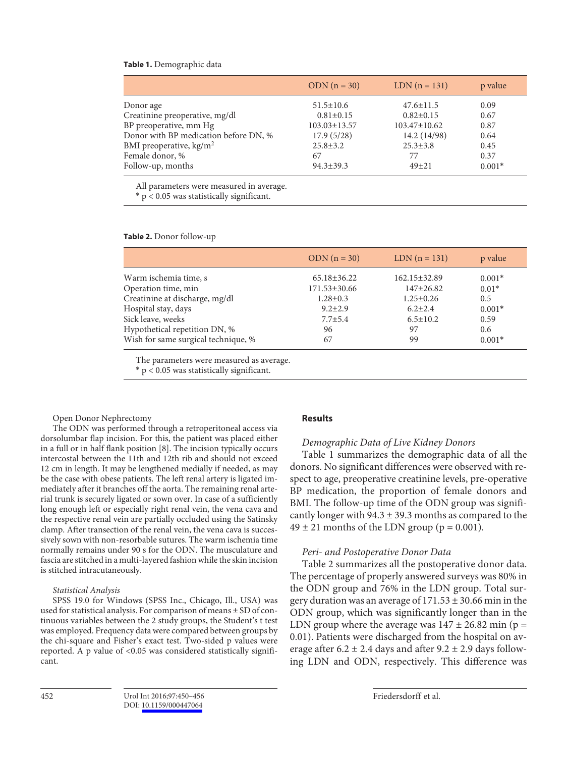#### **Table 1.** Demographic data

|                                       | $ODN (n = 30)$     | $LDN (n = 131)$    | p value  |
|---------------------------------------|--------------------|--------------------|----------|
| Donor age                             | $51.5 \pm 10.6$    | $47.6 \pm 11.5$    | 0.09     |
| Creatinine preoperative, mg/dl        | $0.81 \pm 0.15$    | $0.82 \pm 0.15$    | 0.67     |
| BP preoperative, mm Hg                | $103.03 \pm 13.57$ | $103.47 \pm 10.62$ | 0.87     |
| Donor with BP medication before DN, % | 17.9(5/28)         | 14.2 (14/98)       | 0.64     |
| BMI preoperative, $\text{kg/m}^2$     | $25.8 \pm 3.2$     | $25.3 \pm 3.8$     | 0.45     |
| Female donor, %                       | 67                 | 77                 | 0.37     |
| Follow-up, months                     | $94.3 \pm 39.3$    | $49 + 21$          | $0.001*$ |
|                                       |                    |                    |          |

All parameters were measured in average.

 $* p < 0.05$  was statistically significant.

**Table 2.** Donor follow-up

|                                     | $ODN (n = 30)$     | $LDN (n = 131)$    | p value  |
|-------------------------------------|--------------------|--------------------|----------|
| Warm ischemia time, s               | $65.18 \pm 36.22$  | $162.15 \pm 32.89$ | $0.001*$ |
| Operation time, min                 | $171.53 \pm 30.66$ | $147+26.82$        | $0.01*$  |
| Creatinine at discharge, mg/dl      | $1.28 \pm 0.3$     | $1.25 \pm 0.26$    | 0.5      |
| Hospital stay, days                 | $9.2 \pm 2.9$      | $6.2 \pm 2.4$      | $0.001*$ |
| Sick leave, weeks                   | $7.7 + 5.4$        | $6.5 \pm 10.2$     | 0.59     |
| Hypothetical repetition DN, %       | 96                 | 97                 | 0.6      |
| Wish for same surgical technique, % | 67                 | 99                 | $0.001*$ |

The parameters were measured as average.

 $* p < 0.05$  was statistically significant.

#### Open Donor Nephrectomy

 The ODN was performed through a retroperitoneal access via dorsolumbar flap incision. For this, the patient was placed either in a full or in half flank position [8] . The incision typically occurs intercostal between the 11th and 12th rib and should not exceed 12 cm in length. It may be lengthened medially if needed, as may be the case with obese patients. The left renal artery is ligated immediately after it branches off the aorta. The remaining renal arterial trunk is securely ligated or sown over. In case of a sufficiently long enough left or especially right renal vein, the vena cava and the respective renal vein are partially occluded using the Satinsky clamp. After transection of the renal vein, the vena cava is successively sown with non-resorbable sutures. The warm ischemia time normally remains under 90 s for the ODN. The musculature and fascia are stitched in a multi-layered fashion while the skin incision is stitched intracutaneously.

#### *Statistical Analysis*

 SPSS 19.0 for Windows (SPSS Inc., Chicago, Ill., USA) was used for statistical analysis. For comparison of means ± SD of continuous variables between the 2 study groups, the Student's t test was employed. Frequency data were compared between groups by the chi-square and Fisher's exact test. Two-sided p values were reported. A p value of  $< 0.05$  was considered statistically significant.

#### **Results**

## *Demographic Data of Live Kidney Donors*

 Table 1 summarizes the demographic data of all the donors. No significant differences were observed with respect to age, preoperative creatinine levels, pre-operative BP medication, the proportion of female donors and BMI. The follow-up time of the ODN group was significantly longer with  $94.3 \pm 39.3$  months as compared to the  $49 \pm 21$  months of the LDN group ( $p = 0.001$ ).

## *Peri- and Postoperative Donor Data*

 Table 2 summarizes all the postoperative donor data. The percentage of properly answered surveys was 80% in the ODN group and 76% in the LDN group. Total surgery duration was an average of  $171.53 \pm 30.66$  min in the ODN group, which was significantly longer than in the LDN group where the average was  $147 \pm 26.82$  min (p = 0.01). Patients were discharged from the hospital on average after  $6.2 \pm 2.4$  days and after  $9.2 \pm 2.9$  days following LDN and ODN, respectively. This difference was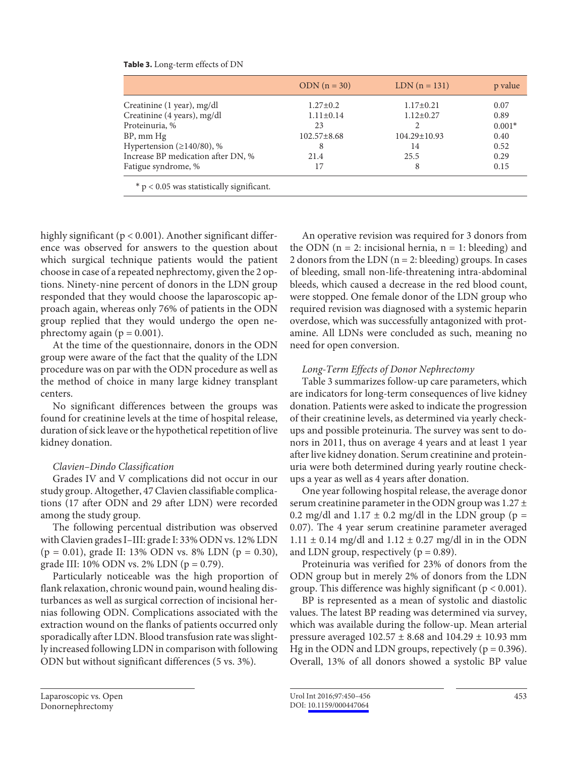|                                             | $ODN (n = 30)$    | $LDN (n = 131)$    | p value  |
|---------------------------------------------|-------------------|--------------------|----------|
| Creatinine (1 year), mg/dl                  | $1.27 \pm 0.2$    | $1.17 \pm 0.21$    | 0.07     |
| Creatinine (4 years), mg/dl                 | $1.11 \pm 0.14$   | $1.12 \pm 0.27$    | 0.89     |
| Proteinuria, %                              | 23                |                    | $0.001*$ |
| $BP$ , mm $Hg$                              | $102.57 \pm 8.68$ | $104.29 \pm 10.93$ | 0.40     |
| Hypertension ( $\geq$ 140/80), %            | 8                 | 14                 | 0.52     |
| Increase BP medication after DN, %          | 21.4              | 25.5               | 0.29     |
| Fatigue syndrome, %                         | 17                | 8                  | 0.15     |
| $*$ p < 0.05 was statistically significant. |                   |                    |          |

# **Table 3.** Long-term effects of DN

highly significant ( $p < 0.001$ ). Another significant difference was observed for answers to the question about which surgical technique patients would the patient choose in case of a repeated nephrectomy, given the 2 options. Ninety-nine percent of donors in the LDN group responded that they would choose the laparoscopic approach again, whereas only 76% of patients in the ODN group replied that they would undergo the open nephrectomy again ( $p = 0.001$ ).

 At the time of the questionnaire, donors in the ODN group were aware of the fact that the quality of the LDN procedure was on par with the ODN procedure as well as the method of choice in many large kidney transplant centers.

 No significant differences between the groups was found for creatinine levels at the time of hospital release, duration of sick leave or the hypothetical repetition of live kidney donation.

# *Clavien–Dindo Classification*

 Grades IV and V complications did not occur in our study group. Altogether, 47 Clavien classifiable complications (17 after ODN and 29 after LDN) were recorded among the study group.

 The following percentual distribution was observed with Clavien grades I–III: grade I: 33% ODN vs. 12% LDN  $(p = 0.01)$ , grade II: 13% ODN vs. 8% LDN  $(p = 0.30)$ , grade III: 10% ODN vs. 2% LDN ( $p = 0.79$ ).

 Particularly noticeable was the high proportion of flank relaxation, chronic wound pain, wound healing disturbances as well as surgical correction of incisional hernias following ODN. Complications associated with the extraction wound on the flanks of patients occurred only sporadically after LDN. Blood transfusion rate was slightly increased following LDN in comparison with following ODN but without significant differences (5 vs. 3%).

 An operative revision was required for 3 donors from the ODN ( $n = 2$ : incisional hernia,  $n = 1$ : bleeding) and 2 donors from the LDN ( $n = 2$ : bleeding) groups. In cases of bleeding, small non-life-threatening intra-abdominal bleeds, which caused a decrease in the red blood count, were stopped. One female donor of the LDN group who required revision was diagnosed with a systemic heparin overdose, which was successfully antagonized with protamine. All LDNs were concluded as such, meaning no need for open conversion.

# *Long-Term Effects of Donor Nephrectomy*

 Table 3 summarizes follow-up care parameters, which are indicators for long-term consequences of live kidney donation. Patients were asked to indicate the progression of their creatinine levels, as determined via yearly checkups and possible proteinuria. The survey was sent to donors in 2011, thus on average 4 years and at least 1 year after live kidney donation. Serum creatinine and proteinuria were both determined during yearly routine checkups a year as well as 4 years after donation.

 One year following hospital release, the average donor serum creatinine parameter in the ODN group was  $1.27 \pm$ 0.2 mg/dl and  $1.17 \pm 0.2$  mg/dl in the LDN group (p = 0.07). The 4 year serum creatinine parameter averaged  $1.11 \pm 0.14$  mg/dl and  $1.12 \pm 0.27$  mg/dl in in the ODN and LDN group, respectively ( $p = 0.89$ ).

 Proteinuria was verified for 23% of donors from the ODN group but in merely 2% of donors from the LDN group. This difference was highly significant ( $p < 0.001$ ).

 BP is represented as a mean of systolic and diastolic values. The latest BP reading was determined via survey, which was available during the follow-up. Mean arterial pressure averaged 102.57 ± 8.68 and 104.29 ± 10.93 mm Hg in the ODN and LDN groups, repectively ( $p = 0.396$ ). Overall, 13% of all donors showed a systolic BP value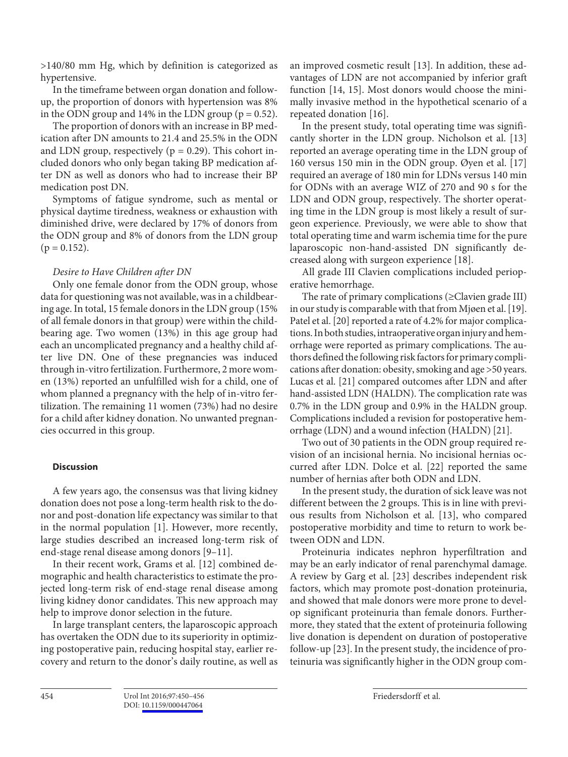>140/80 mm Hg, which by definition is categorized as hypertensive.

 In the timeframe between organ donation and followup, the proportion of donors with hypertension was 8% in the ODN group and 14% in the LDN group ( $p = 0.52$ ).

 The proportion of donors with an increase in BP medication after DN amounts to 21.4 and 25.5% in the ODN and LDN group, respectively ( $p = 0.29$ ). This cohort included donors who only began taking BP medication after DN as well as donors who had to increase their BP medication post DN.

 Symptoms of fatigue syndrome, such as mental or physical daytime tiredness, weakness or exhaustion with diminished drive, were declared by 17% of donors from the ODN group and 8% of donors from the LDN group  $(p = 0.152)$ .

# *Desire to Have Children after DN*

 Only one female donor from the ODN group, whose data for questioning was not available, was in a childbearing age. In total, 15 female donors in the LDN group (15% of all female donors in that group) were within the childbearing age. Two women (13%) in this age group had each an uncomplicated pregnancy and a healthy child after live DN. One of these pregnancies was induced through in-vitro fertilization. Furthermore, 2 more women (13%) reported an unfulfilled wish for a child, one of whom planned a pregnancy with the help of in-vitro fertilization. The remaining 11 women (73%) had no desire for a child after kidney donation. No unwanted pregnancies occurred in this group.

# **Discussion**

 A few years ago, the consensus was that living kidney donation does not pose a long-term health risk to the donor and post-donation life expectancy was similar to that in the normal population [1]. However, more recently, large studies described an increased long-term risk of end-stage renal disease among donors [9–11] .

 In their recent work, Grams et al. [12] combined demographic and health characteristics to estimate the projected long-term risk of end-stage renal disease among living kidney donor candidates. This new approach may help to improve donor selection in the future.

 In large transplant centers, the laparoscopic approach has overtaken the ODN due to its superiority in optimizing postoperative pain, reducing hospital stay, earlier recovery and return to the donor's daily routine, as well as an improved cosmetic result [13]. In addition, these advantages of LDN are not accompanied by inferior graft function [14, 15]. Most donors would choose the minimally invasive method in the hypothetical scenario of a repeated donation [16].

 In the present study, total operating time was significantly shorter in the LDN group. Nicholson et al. [13] reported an average operating time in the LDN group of 160 versus 150 min in the ODN group. Øyen et al. [17] required an average of 180 min for LDNs versus 140 min for ODNs with an average WIZ of 270 and 90 s for the LDN and ODN group, respectively. The shorter operating time in the LDN group is most likely a result of surgeon experience. Previously, we were able to show that total operating time and warm ischemia time for the pure laparoscopic non-hand-assisted DN significantly decreased along with surgeon experience [18] .

 All grade III Clavien complications included perioperative hemorrhage.

The rate of primary complications ( $\geq$ Clavien grade III) in our study is comparable with that from Mjøen et al. [19] . Patel et al. [20] reported a rate of 4.2% for major complications. In both studies, intraoperative organ injury and hemorrhage were reported as primary complications. The authors defined the following risk factors for primary complications after donation: obesity, smoking and age >50 years. Lucas et al. [21] compared outcomes after LDN and after hand-assisted LDN (HALDN). The complication rate was 0.7% in the LDN group and 0.9% in the HALDN group. Complications included a revision for postoperative hemorrhage (LDN) and a wound infection (HALDN) [21] .

 Two out of 30 patients in the ODN group required revision of an incisional hernia. No incisional hernias occurred after LDN. Dolce et al. [22] reported the same number of hernias after both ODN and LDN.

 In the present study, the duration of sick leave was not different between the 2 groups. This is in line with previous results from Nicholson et al. [13], who compared postoperative morbidity and time to return to work between ODN and LDN.

 Proteinuria indicates nephron hyperfiltration and may be an early indicator of renal parenchymal damage. A review by Garg et al. [23] describes independent risk factors, which may promote post-donation proteinuria, and showed that male donors were more prone to develop significant proteinuria than female donors. Furthermore, they stated that the extent of proteinuria following live donation is dependent on duration of postoperative follow-up [23]. In the present study, the incidence of proteinuria was significantly higher in the ODN group com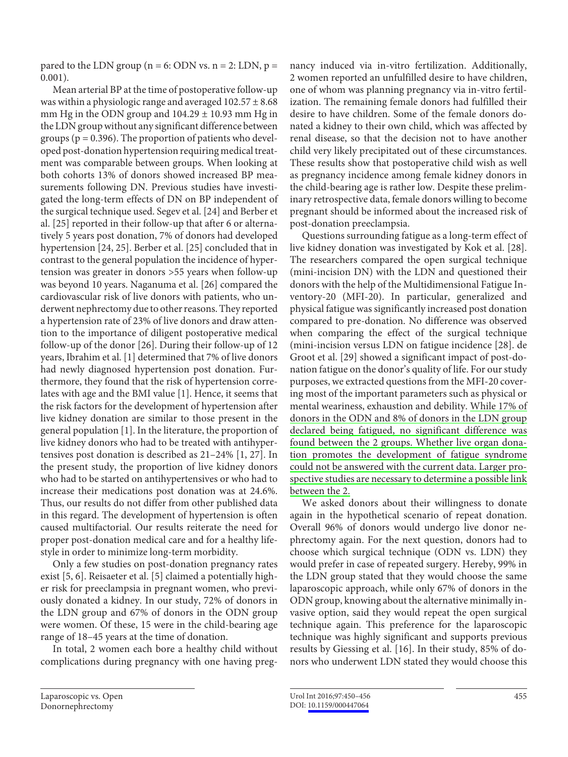pared to the LDN group ( $n = 6$ : ODN vs.  $n = 2$ : LDN,  $p =$ 0.001).

 Mean arterial BP at the time of postoperative follow-up was within a physiologic range and averaged  $102.57 \pm 8.68$ mm Hg in the ODN group and  $104.29 \pm 10.93$  mm Hg in the LDN group without any significant difference between groups ( $p = 0.396$ ). The proportion of patients who developed post-donation hypertension requiring medical treatment was comparable between groups. When looking at both cohorts 13% of donors showed increased BP measurements following DN. Previous studies have investigated the long-term effects of DN on BP independent of the surgical technique used. Segev et al. [24] and Berber et al. [25] reported in their follow-up that after 6 or alternatively 5 years post donation, 7% of donors had developed hypertension [24, 25] . Berber et al. [25] concluded that in contrast to the general population the incidence of hypertension was greater in donors >55 years when follow-up was beyond 10 years. Naganuma et al. [26] compared the cardiovascular risk of live donors with patients, who underwent nephrectomy due to other reasons. They reported a hypertension rate of 23% of live donors and draw attention to the importance of diligent postoperative medical follow-up of the donor [26] . During their follow-up of 12 years, Ibrahim et al. [1] determined that 7% of live donors had newly diagnosed hypertension post donation. Furthermore, they found that the risk of hypertension correlates with age and the BMI value [1]. Hence, it seems that the risk factors for the development of hypertension after live kidney donation are similar to those present in the general population [1] . In the literature, the proportion of live kidney donors who had to be treated with antihypertensives post donation is described as 21-24% [1, 27]. In the present study, the proportion of live kidney donors who had to be started on antihypertensives or who had to increase their medications post donation was at 24.6%. Thus, our results do not differ from other published data in this regard. The development of hypertension is often caused multifactorial. Our results reiterate the need for proper post-donation medical care and for a healthy lifestyle in order to minimize long-term morbidity.

 Only a few studies on post-donation pregnancy rates exist [5, 6]. Reisaeter et al. [5] claimed a potentially higher risk for preeclampsia in pregnant women, who previously donated a kidney. In our study, 72% of donors in the LDN group and 67% of donors in the ODN group were women. Of these, 15 were in the child-bearing age range of 18–45 years at the time of donation.

 In total, 2 women each bore a healthy child without complications during pregnancy with one having pregnancy induced via in-vitro fertilization. Additionally, 2 women reported an unfulfilled desire to have children, one of whom was planning pregnancy via in-vitro fertilization. The remaining female donors had fulfilled their desire to have children. Some of the female donors donated a kidney to their own child, which was affected by renal disease, so that the decision not to have another child very likely precipitated out of these circumstances. These results show that postoperative child wish as well as pregnancy incidence among female kidney donors in the child-bearing age is rather low. Despite these preliminary retrospective data, female donors willing to become pregnant should be informed about the increased risk of post-donation preeclampsia.

 Questions surrounding fatigue as a long-term effect of live kidney donation was investigated by Kok et al. [28] . The researchers compared the open surgical technique (mini-incision DN) with the LDN and questioned their donors with the help of the Multidimensional Fatigue Inventory-20 (MFI-20). In particular, generalized and physical fatigue was significantly increased post donation compared to pre-donation. No difference was observed when comparing the effect of the surgical technique (mini-incision versus LDN on fatigue incidence [28] . de Groot et al. [29] showed a significant impact of post-donation fatigue on the donor's quality of life. For our study purposes, we extracted questions from the MFI-20 covering most of the important parameters such as physical or mental weariness, exhaustion and debility. While 17% of donors in the ODN and 8% of donors in the LDN group declared being fatigued, no significant difference was found between the 2 groups. Whether live organ donation promotes the development of fatigue syndrome could not be answered with the current data. Larger prospective studies are necessary to determine a possible link between the 2.

 We asked donors about their willingness to donate again in the hypothetical scenario of repeat donation. Overall 96% of donors would undergo live donor nephrectomy again. For the next question, donors had to choose which surgical technique (ODN vs. LDN) they would prefer in case of repeated surgery. Hereby, 99% in the LDN group stated that they would choose the same laparoscopic approach, while only 67% of donors in the ODN group, knowing about the alternative minimally invasive option, said they would repeat the open surgical technique again. This preference for the laparoscopic technique was highly significant and supports previous results by Giessing et al. [16]. In their study, 85% of donors who underwent LDN stated they would choose this